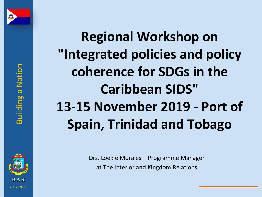



**Regional Workshop on "Integrated policies and policy coherence for SDGs in the Caribbean SIDS" 13-15 November 2019 - Port of Spain, Trinidad and Tobago**

> Drs. Loekie Morales – Programme Manager at The Interior and Kingdom Relations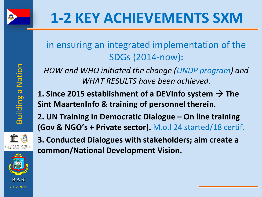

## in ensuring an integrated implementation of the SDGs (2014-now)**:**

*HOW and WHO initiated the change (UNDP program) and WHAT RESULTS have been achieved.*

**1. Since 2015 establishment of a DEVInfo system → The Sint MaartenInfo & training of personnel therein.** 

**2. UN Training in Democratic Dialogue – On line training (Gov & NGO's + Private sector).** M.o.l 24 started/18 certif.



**Building a Nation** 

**3. Conducted Dialogues with stakeholders; aim create a common/National Development Vision.** 

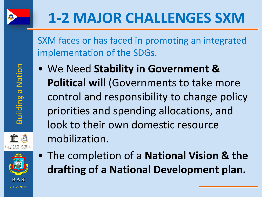

SXM faces or has faced in promoting an integrated implementation of the SDGs.

- We Need **Stability in Government & Political will** (Governments to take more control and responsibility to change policy priorities and spending allocations, and look to their own domestic resource mobilization.
- R A K 2012-2015
- The completion of a **National Vision & the drafting of a National Development plan.**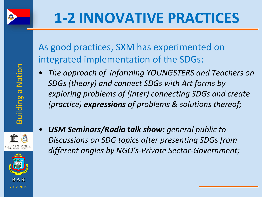

As good practices, SXM has experimented on integrated implementation of the SDGs:

• *The approach of informing YOUNGSTERS and Teachers on SDGs (theory) and connect SDGs with Art forms by exploring problems of (inter) connecting SDGs and create (practice) expressions of problems & solutions thereof;*





• *USM Seminars/Radio talk show: general public to Discussions on SDG topics after presenting SDGs from different angles by NGO's-Private Sector-Government;*